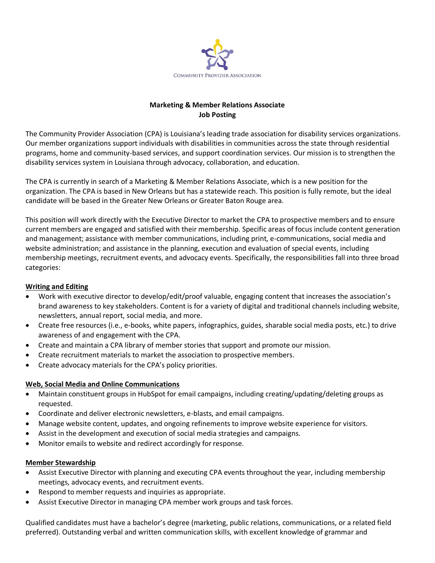

## **Marketing & Member Relations Associate Job Posting**

The Community Provider Association (CPA) is Louisiana's leading trade association for disability services organizations. Our member organizations support individuals with disabilities in communities across the state through residential programs, home and community-based services, and support coordination services. Our mission is to strengthen the disability services system in Louisiana through advocacy, collaboration, and education.

The CPA is currently in search of a Marketing & Member Relations Associate, which is a new position for the organization. The CPA is based in New Orleans but has a statewide reach. This position is fully remote, but the ideal candidate will be based in the Greater New Orleans or Greater Baton Rouge area.

This position will work directly with the Executive Director to market the CPA to prospective members and to ensure current members are engaged and satisfied with their membership. Specific areas of focus include content generation and management; assistance with member communications, including print, e-communications, social media and website administration; and assistance in the planning, execution and evaluation of special events, including membership meetings, recruitment events, and advocacy events. Specifically, the responsibilities fall into three broad categories:

## **Writing and Editing**

- Work with executive director to develop/edit/proof valuable, engaging content that increases the association's brand awareness to key stakeholders. Content is for a variety of digital and traditional channels including website, newsletters, annual report, social media, and more.
- Create free resources (i.e., e-books, white papers, infographics, guides, sharable social media posts, etc.) to drive awareness of and engagement with the CPA.
- Create and maintain a CPA library of member stories that support and promote our mission.
- Create recruitment materials to market the association to prospective members.
- Create advocacy materials for the CPA's policy priorities.

## **Web, Social Media and Online Communications**

- Maintain constituent groups in HubSpot for email campaigns, including creating/updating/deleting groups as requested.
- Coordinate and deliver electronic newsletters, e-blasts, and email campaigns.
- Manage website content, updates, and ongoing refinements to improve website experience for visitors.
- Assist in the development and execution of social media strategies and campaigns.
- Monitor emails to website and redirect accordingly for response.

## **Member Stewardship**

- Assist Executive Director with planning and executing CPA events throughout the year, including membership meetings, advocacy events, and recruitment events.
- Respond to member requests and inquiries as appropriate.
- Assist Executive Director in managing CPA member work groups and task forces.

Qualified candidates must have a bachelor's degree (marketing, public relations, communications, or a related field preferred). Outstanding verbal and written communication skills, with excellent knowledge of grammar and